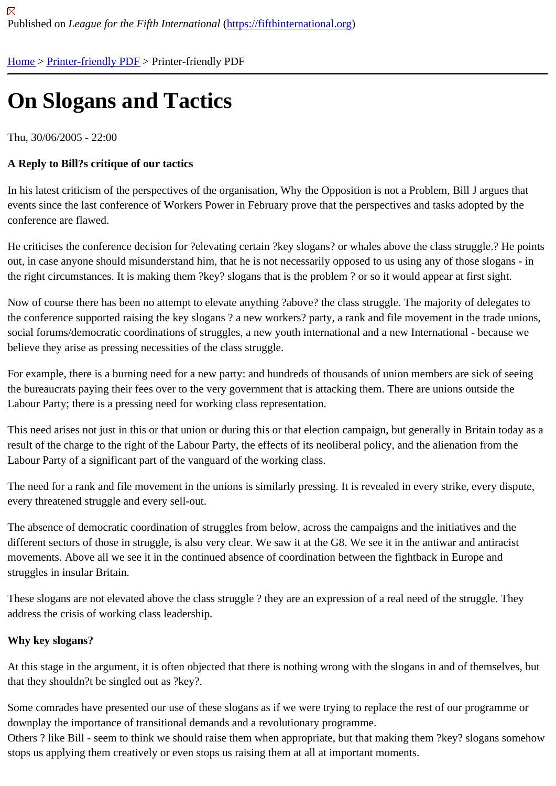# [On](https://fifthinternational.org/) [Slogans a](https://fifthinternational.org/printpdf)nd Tactics

Thu, 30/06/2005 - 22:00

A Reply to Bill?s critique of our tactics

In his latest criticism of the perspectives of the organisation, Why the Opposition is not a Problem, Bill J argues that events since the last conference of Workers Power in February prove that the perspectives and tasks adopted by conference are flawed.

He criticises the conference decision for ?elevating certain ?key slogans? or whales above the class struggle.? He out, in case anyone should misunderstand him, that he is not necessarily opposed to us using any of those slogan the right circumstances. It is making them ?key? slogans that is the problem ? or so it would appear at first sight.

Now of course there has been no attempt to elevate anything ?above? the class struggle. The majority of delegate the conference supported raising the key slogans? a new workers? party, a rank and file movement in the trade u social forums/democratic coordinations of struggles, a new youth international and a new International - because v believe they arise as pressing necessities of the class struggle.

For example, there is a burning need for a new party: and hundreds of thousands of union members are sick of se the bureaucrats paying their fees over to the very government that is attacking them. There are unions outside the Labour Party; there is a pressing need for working class representation.

This need arises not just in this or that union or during this or that election campaign, but generally in Britain today result of the charge to the right of the Labour Party, the effects of its neoliberal policy, and the alienation from the Labour Party of a significant part of the vanguard of the working class.

The need for a rank and file movement in the unions is similarly pressing. It is revealed in every strike, every dispu every threatened struggle and every sell-out.

The absence of democratic coordination of struggles from below, across the campaigns and the initiatives and the different sectors of those in struggle, is also very clear. We saw it at the G8. We see it in the antiwar and antiracist movements. Above all we see it in the continued absence of coordination between the fightback in Europe and struggles in insular Britain.

These slogans are not elevated above the class struggle ? they are an expression of a real need of the struggle. T address the crisis of working class leadership.

Why key slogans?

At this stage in the argument, it is often objected that there is nothing wrong with the slogans in and of themselves that they shouldn?t be singled out as ?key?.

Some comrades have presented our use of these slogans as if we were trying to replace the rest of our programm downplay the importance of transitional demands and a revolutionary programme.

Others ? like Bill - seem to think we should raise them when appropriate, but that making them ?key? slogans somehow stops us applying them creatively or even stops us raising them at all at important moments.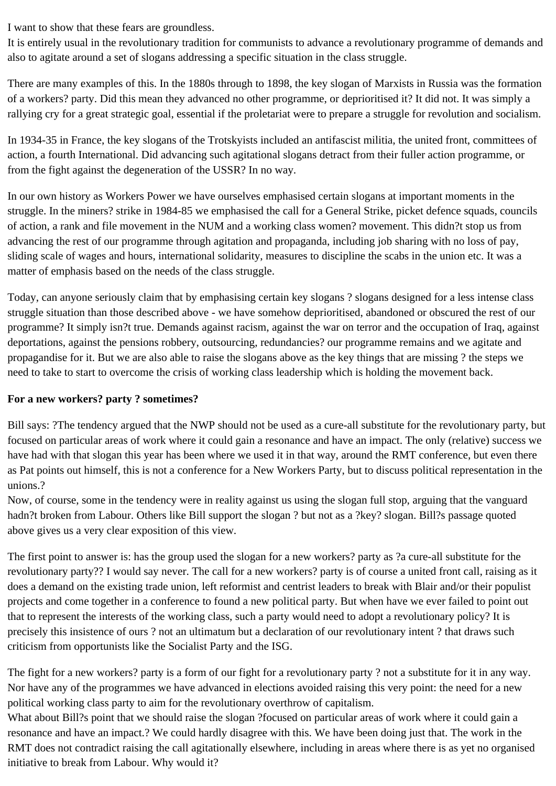I want to show that these fears are groundless.

It is entirely usual in the revolutionary tradition for communists to advance a revolutionary programme of demands and also to agitate around a set of slogans addressing a specific situation in the class struggle.

There are many examples of this. In the 1880s through to 1898, the key slogan of Marxists in Russia was the formation of a workers? party. Did this mean they advanced no other programme, or deprioritised it? It did not. It was simply a rallying cry for a great strategic goal, essential if the proletariat were to prepare a struggle for revolution and socialism.

In 1934-35 in France, the key slogans of the Trotskyists included an antifascist militia, the united front, committees of action, a fourth International. Did advancing such agitational slogans detract from their fuller action programme, or from the fight against the degeneration of the USSR? In no way.

In our own history as Workers Power we have ourselves emphasised certain slogans at important moments in the struggle. In the miners? strike in 1984-85 we emphasised the call for a General Strike, picket defence squads, councils of action, a rank and file movement in the NUM and a working class women? movement. This didn?t stop us from advancing the rest of our programme through agitation and propaganda, including job sharing with no loss of pay, sliding scale of wages and hours, international solidarity, measures to discipline the scabs in the union etc. It was a matter of emphasis based on the needs of the class struggle.

Today, can anyone seriously claim that by emphasising certain key slogans ? slogans designed for a less intense class struggle situation than those described above - we have somehow deprioritised, abandoned or obscured the rest of our programme? It simply isn?t true. Demands against racism, against the war on terror and the occupation of Iraq, against deportations, against the pensions robbery, outsourcing, redundancies? our programme remains and we agitate and propagandise for it. But we are also able to raise the slogans above as the key things that are missing ? the steps we need to take to start to overcome the crisis of working class leadership which is holding the movement back.

### **For a new workers? party ? sometimes?**

Bill says: ?The tendency argued that the NWP should not be used as a cure-all substitute for the revolutionary party, but focused on particular areas of work where it could gain a resonance and have an impact. The only (relative) success we have had with that slogan this year has been where we used it in that way, around the RMT conference, but even there as Pat points out himself, this is not a conference for a New Workers Party, but to discuss political representation in the unions.?

Now, of course, some in the tendency were in reality against us using the slogan full stop, arguing that the vanguard hadn?t broken from Labour. Others like Bill support the slogan ? but not as a ?key? slogan. Bill?s passage quoted above gives us a very clear exposition of this view.

The first point to answer is: has the group used the slogan for a new workers? party as ?a cure-all substitute for the revolutionary party?? I would say never. The call for a new workers? party is of course a united front call, raising as it does a demand on the existing trade union, left reformist and centrist leaders to break with Blair and/or their populist projects and come together in a conference to found a new political party. But when have we ever failed to point out that to represent the interests of the working class, such a party would need to adopt a revolutionary policy? It is precisely this insistence of ours ? not an ultimatum but a declaration of our revolutionary intent ? that draws such criticism from opportunists like the Socialist Party and the ISG.

The fight for a new workers? party is a form of our fight for a revolutionary party ? not a substitute for it in any way. Nor have any of the programmes we have advanced in elections avoided raising this very point: the need for a new political working class party to aim for the revolutionary overthrow of capitalism.

What about Bill?s point that we should raise the slogan ?focused on particular areas of work where it could gain a resonance and have an impact.? We could hardly disagree with this. We have been doing just that. The work in the RMT does not contradict raising the call agitationally elsewhere, including in areas where there is as yet no organised initiative to break from Labour. Why would it?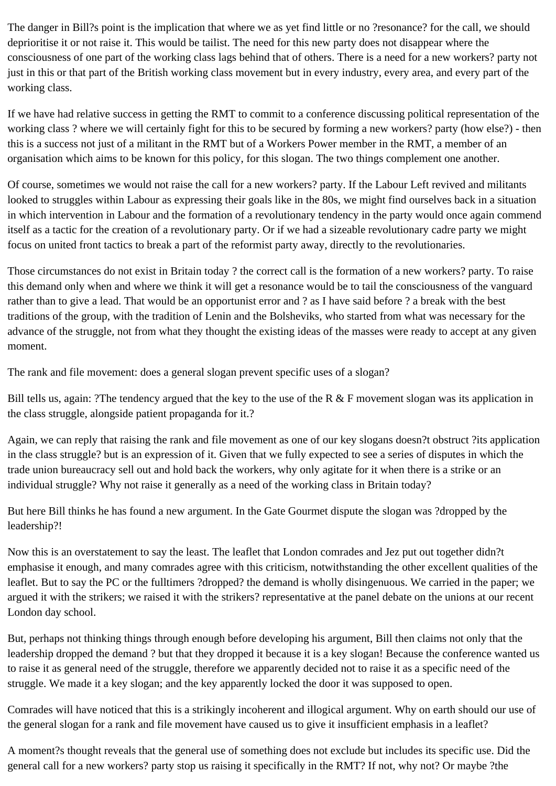The danger in Bill?s point is the implication that where we as yet find little or no ?resonance? for the call, we should deprioritise it or not raise it. This would be tailist. The need for this new party does not disappear where the consciousness of one part of the working class lags behind that of others. There is a need for a new workers? party not just in this or that part of the British working class movement but in every industry, every area, and every part of the working class.

If we have had relative success in getting the RMT to commit to a conference discussing political representation of the working class ? where we will certainly fight for this to be secured by forming a new workers? party (how else?) - then this is a success not just of a militant in the RMT but of a Workers Power member in the RMT, a member of an organisation which aims to be known for this policy, for this slogan. The two things complement one another.

Of course, sometimes we would not raise the call for a new workers? party. If the Labour Left revived and militants looked to struggles within Labour as expressing their goals like in the 80s, we might find ourselves back in a situation in which intervention in Labour and the formation of a revolutionary tendency in the party would once again commend itself as a tactic for the creation of a revolutionary party. Or if we had a sizeable revolutionary cadre party we might focus on united front tactics to break a part of the reformist party away, directly to the revolutionaries.

Those circumstances do not exist in Britain today ? the correct call is the formation of a new workers? party. To raise this demand only when and where we think it will get a resonance would be to tail the consciousness of the vanguard rather than to give a lead. That would be an opportunist error and ? as I have said before ? a break with the best traditions of the group, with the tradition of Lenin and the Bolsheviks, who started from what was necessary for the advance of the struggle, not from what they thought the existing ideas of the masses were ready to accept at any given moment.

The rank and file movement: does a general slogan prevent specific uses of a slogan?

Bill tells us, again: ?The tendency argued that the key to the use of the R & F movement slogan was its application in the class struggle, alongside patient propaganda for it.?

Again, we can reply that raising the rank and file movement as one of our key slogans doesn?t obstruct ?its application in the class struggle? but is an expression of it. Given that we fully expected to see a series of disputes in which the trade union bureaucracy sell out and hold back the workers, why only agitate for it when there is a strike or an individual struggle? Why not raise it generally as a need of the working class in Britain today?

But here Bill thinks he has found a new argument. In the Gate Gourmet dispute the slogan was ?dropped by the leadership?!

Now this is an overstatement to say the least. The leaflet that London comrades and Jez put out together didn?t emphasise it enough, and many comrades agree with this criticism, notwithstanding the other excellent qualities of the leaflet. But to say the PC or the fulltimers ?dropped? the demand is wholly disingenuous. We carried in the paper; we argued it with the strikers; we raised it with the strikers? representative at the panel debate on the unions at our recent London day school.

But, perhaps not thinking things through enough before developing his argument, Bill then claims not only that the leadership dropped the demand ? but that they dropped it because it is a key slogan! Because the conference wanted us to raise it as general need of the struggle, therefore we apparently decided not to raise it as a specific need of the struggle. We made it a key slogan; and the key apparently locked the door it was supposed to open.

Comrades will have noticed that this is a strikingly incoherent and illogical argument. Why on earth should our use of the general slogan for a rank and file movement have caused us to give it insufficient emphasis in a leaflet?

A moment?s thought reveals that the general use of something does not exclude but includes its specific use. Did the general call for a new workers? party stop us raising it specifically in the RMT? If not, why not? Or maybe ?the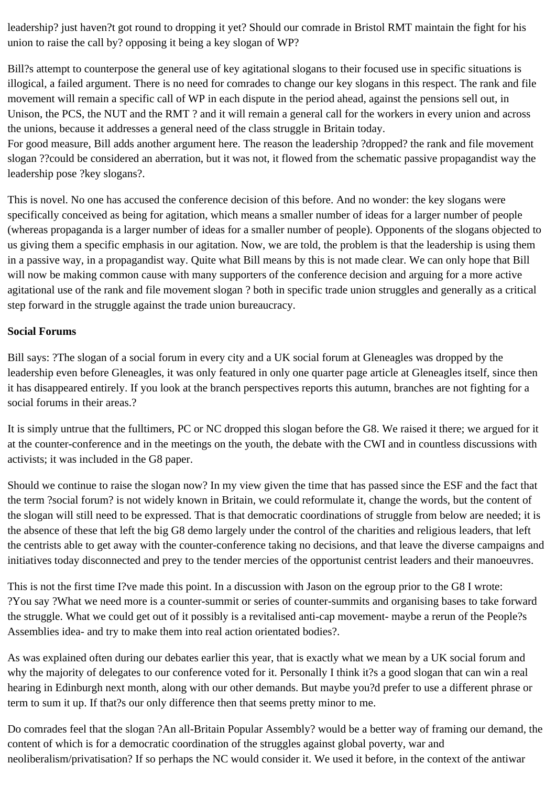leadership? just haven?t got round to dropping it yet? Should our comrade in Bristol RMT maintain the fight for his union to raise the call by? opposing it being a key slogan of WP?

Bill?s attempt to counterpose the general use of key agitational slogans to their focused use in specific situations is illogical, a failed argument. There is no need for comrades to change our key slogans in this respect. The rank and file movement will remain a specific call of WP in each dispute in the period ahead, against the pensions sell out, in Unison, the PCS, the NUT and the RMT ? and it will remain a general call for the workers in every union and across the unions, because it addresses a general need of the class struggle in Britain today.

For good measure, Bill adds another argument here. The reason the leadership ?dropped? the rank and file movement slogan ??could be considered an aberration, but it was not, it flowed from the schematic passive propagandist way the leadership pose ?key slogans?.

This is novel. No one has accused the conference decision of this before. And no wonder: the key slogans were specifically conceived as being for agitation, which means a smaller number of ideas for a larger number of people (whereas propaganda is a larger number of ideas for a smaller number of people). Opponents of the slogans objected to us giving them a specific emphasis in our agitation. Now, we are told, the problem is that the leadership is using them in a passive way, in a propagandist way. Quite what Bill means by this is not made clear. We can only hope that Bill will now be making common cause with many supporters of the conference decision and arguing for a more active agitational use of the rank and file movement slogan ? both in specific trade union struggles and generally as a critical step forward in the struggle against the trade union bureaucracy.

### **Social Forums**

Bill says: ?The slogan of a social forum in every city and a UK social forum at Gleneagles was dropped by the leadership even before Gleneagles, it was only featured in only one quarter page article at Gleneagles itself, since then it has disappeared entirely. If you look at the branch perspectives reports this autumn, branches are not fighting for a social forums in their areas.?

It is simply untrue that the fulltimers, PC or NC dropped this slogan before the G8. We raised it there; we argued for it at the counter-conference and in the meetings on the youth, the debate with the CWI and in countless discussions with activists; it was included in the G8 paper.

Should we continue to raise the slogan now? In my view given the time that has passed since the ESF and the fact that the term ?social forum? is not widely known in Britain, we could reformulate it, change the words, but the content of the slogan will still need to be expressed. That is that democratic coordinations of struggle from below are needed; it is the absence of these that left the big G8 demo largely under the control of the charities and religious leaders, that left the centrists able to get away with the counter-conference taking no decisions, and that leave the diverse campaigns and initiatives today disconnected and prey to the tender mercies of the opportunist centrist leaders and their manoeuvres.

This is not the first time I?ve made this point. In a discussion with Jason on the egroup prior to the G8 I wrote: ?You say ?What we need more is a counter-summit or series of counter-summits and organising bases to take forward the struggle. What we could get out of it possibly is a revitalised anti-cap movement- maybe a rerun of the People?s Assemblies idea- and try to make them into real action orientated bodies?.

As was explained often during our debates earlier this year, that is exactly what we mean by a UK social forum and why the majority of delegates to our conference voted for it. Personally I think it?s a good slogan that can win a real hearing in Edinburgh next month, along with our other demands. But maybe you?d prefer to use a different phrase or term to sum it up. If that?s our only difference then that seems pretty minor to me.

Do comrades feel that the slogan ?An all-Britain Popular Assembly? would be a better way of framing our demand, the content of which is for a democratic coordination of the struggles against global poverty, war and neoliberalism/privatisation? If so perhaps the NC would consider it. We used it before, in the context of the antiwar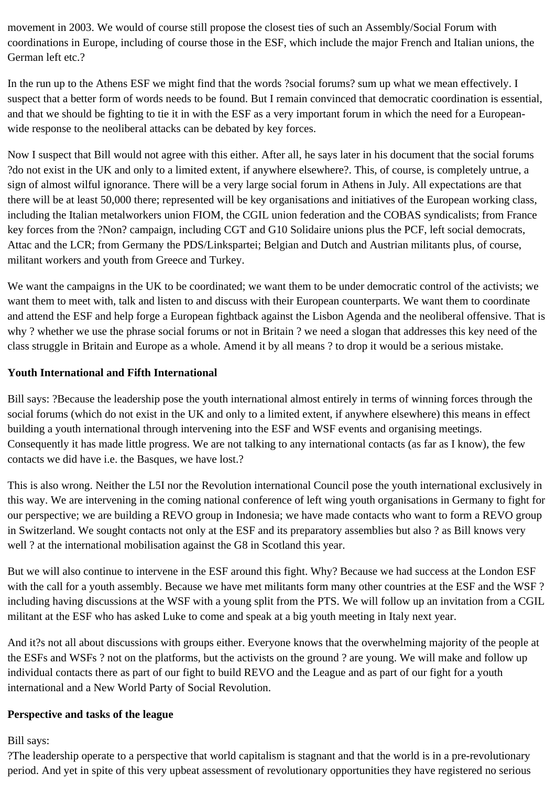movement in 2003. We would of course still propose the closest ties of such an Assembly/Social Forum with coordinations in Europe, including of course those in the ESF, which include the major French and Italian unions, the German left etc.?

In the run up to the Athens ESF we might find that the words ?social forums? sum up what we mean effectively. I suspect that a better form of words needs to be found. But I remain convinced that democratic coordination is essential, and that we should be fighting to tie it in with the ESF as a very important forum in which the need for a Europeanwide response to the neoliberal attacks can be debated by key forces.

Now I suspect that Bill would not agree with this either. After all, he says later in his document that the social forums ?do not exist in the UK and only to a limited extent, if anywhere elsewhere?. This, of course, is completely untrue, a sign of almost wilful ignorance. There will be a very large social forum in Athens in July. All expectations are that there will be at least 50,000 there; represented will be key organisations and initiatives of the European working class, including the Italian metalworkers union FIOM, the CGIL union federation and the COBAS syndicalists; from France key forces from the ?Non? campaign, including CGT and G10 Solidaire unions plus the PCF, left social democrats, Attac and the LCR; from Germany the PDS/Linkspartei; Belgian and Dutch and Austrian militants plus, of course, militant workers and youth from Greece and Turkey.

We want the campaigns in the UK to be coordinated; we want them to be under democratic control of the activists; we want them to meet with, talk and listen to and discuss with their European counterparts. We want them to coordinate and attend the ESF and help forge a European fightback against the Lisbon Agenda and the neoliberal offensive. That is why ? whether we use the phrase social forums or not in Britain ? we need a slogan that addresses this key need of the class struggle in Britain and Europe as a whole. Amend it by all means ? to drop it would be a serious mistake.

### **Youth International and Fifth International**

Bill says: ?Because the leadership pose the youth international almost entirely in terms of winning forces through the social forums (which do not exist in the UK and only to a limited extent, if anywhere elsewhere) this means in effect building a youth international through intervening into the ESF and WSF events and organising meetings. Consequently it has made little progress. We are not talking to any international contacts (as far as I know), the few contacts we did have i.e. the Basques, we have lost.?

This is also wrong. Neither the L5I nor the Revolution international Council pose the youth international exclusively in this way. We are intervening in the coming national conference of left wing youth organisations in Germany to fight for our perspective; we are building a REVO group in Indonesia; we have made contacts who want to form a REVO group in Switzerland. We sought contacts not only at the ESF and its preparatory assemblies but also ? as Bill knows very well ? at the international mobilisation against the G8 in Scotland this year.

But we will also continue to intervene in the ESF around this fight. Why? Because we had success at the London ESF with the call for a youth assembly. Because we have met militants form many other countries at the ESF and the WSF? including having discussions at the WSF with a young split from the PTS. We will follow up an invitation from a CGIL militant at the ESF who has asked Luke to come and speak at a big youth meeting in Italy next year.

And it?s not all about discussions with groups either. Everyone knows that the overwhelming majority of the people at the ESFs and WSFs ? not on the platforms, but the activists on the ground ? are young. We will make and follow up individual contacts there as part of our fight to build REVO and the League and as part of our fight for a youth international and a New World Party of Social Revolution.

### **Perspective and tasks of the league**

### Bill says:

?The leadership operate to a perspective that world capitalism is stagnant and that the world is in a pre-revolutionary period. And yet in spite of this very upbeat assessment of revolutionary opportunities they have registered no serious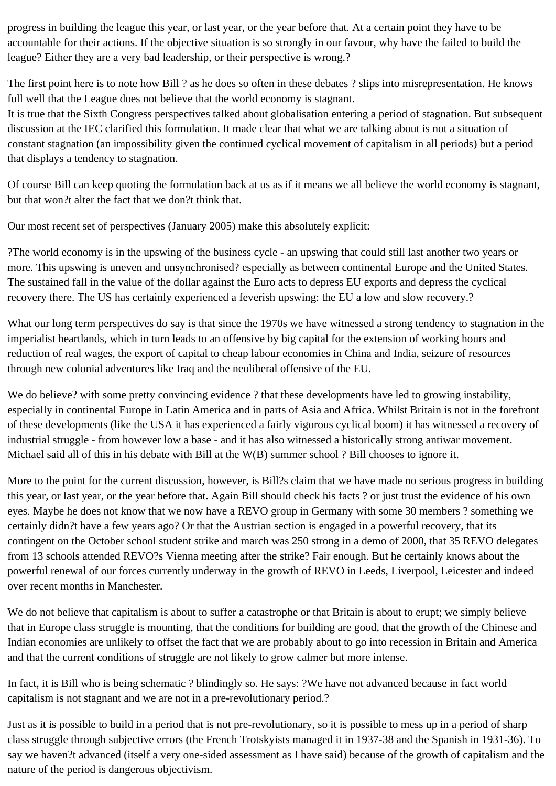progress in building the league this year, or last year, or the year before that. At a certain point they have to be accountable for their actions. If the objective situation is so strongly in our favour, why have the failed to build the league? Either they are a very bad leadership, or their perspective is wrong.?

The first point here is to note how Bill ? as he does so often in these debates ? slips into misrepresentation. He knows full well that the League does not believe that the world economy is stagnant.

It is true that the Sixth Congress perspectives talked about globalisation entering a period of stagnation. But subsequent discussion at the IEC clarified this formulation. It made clear that what we are talking about is not a situation of constant stagnation (an impossibility given the continued cyclical movement of capitalism in all periods) but a period that displays a tendency to stagnation.

Of course Bill can keep quoting the formulation back at us as if it means we all believe the world economy is stagnant, but that won?t alter the fact that we don?t think that.

Our most recent set of perspectives (January 2005) make this absolutely explicit:

?The world economy is in the upswing of the business cycle - an upswing that could still last another two years or more. This upswing is uneven and unsynchronised? especially as between continental Europe and the United States. The sustained fall in the value of the dollar against the Euro acts to depress EU exports and depress the cyclical recovery there. The US has certainly experienced a feverish upswing: the EU a low and slow recovery.?

What our long term perspectives do say is that since the 1970s we have witnessed a strong tendency to stagnation in the imperialist heartlands, which in turn leads to an offensive by big capital for the extension of working hours and reduction of real wages, the export of capital to cheap labour economies in China and India, seizure of resources through new colonial adventures like Iraq and the neoliberal offensive of the EU.

We do believe? with some pretty convincing evidence ? that these developments have led to growing instability, especially in continental Europe in Latin America and in parts of Asia and Africa. Whilst Britain is not in the forefront of these developments (like the USA it has experienced a fairly vigorous cyclical boom) it has witnessed a recovery of industrial struggle - from however low a base - and it has also witnessed a historically strong antiwar movement. Michael said all of this in his debate with Bill at the W(B) summer school ? Bill chooses to ignore it.

More to the point for the current discussion, however, is Bill?s claim that we have made no serious progress in building this year, or last year, or the year before that. Again Bill should check his facts ? or just trust the evidence of his own eyes. Maybe he does not know that we now have a REVO group in Germany with some 30 members ? something we certainly didn?t have a few years ago? Or that the Austrian section is engaged in a powerful recovery, that its contingent on the October school student strike and march was 250 strong in a demo of 2000, that 35 REVO delegates from 13 schools attended REVO?s Vienna meeting after the strike? Fair enough. But he certainly knows about the powerful renewal of our forces currently underway in the growth of REVO in Leeds, Liverpool, Leicester and indeed over recent months in Manchester.

We do not believe that capitalism is about to suffer a catastrophe or that Britain is about to erupt; we simply believe that in Europe class struggle is mounting, that the conditions for building are good, that the growth of the Chinese and Indian economies are unlikely to offset the fact that we are probably about to go into recession in Britain and America and that the current conditions of struggle are not likely to grow calmer but more intense.

In fact, it is Bill who is being schematic ? blindingly so. He says: ?We have not advanced because in fact world capitalism is not stagnant and we are not in a pre-revolutionary period.?

Just as it is possible to build in a period that is not pre-revolutionary, so it is possible to mess up in a period of sharp class struggle through subjective errors (the French Trotskyists managed it in 1937-38 and the Spanish in 1931-36). To say we haven?t advanced (itself a very one-sided assessment as I have said) because of the growth of capitalism and the nature of the period is dangerous objectivism.